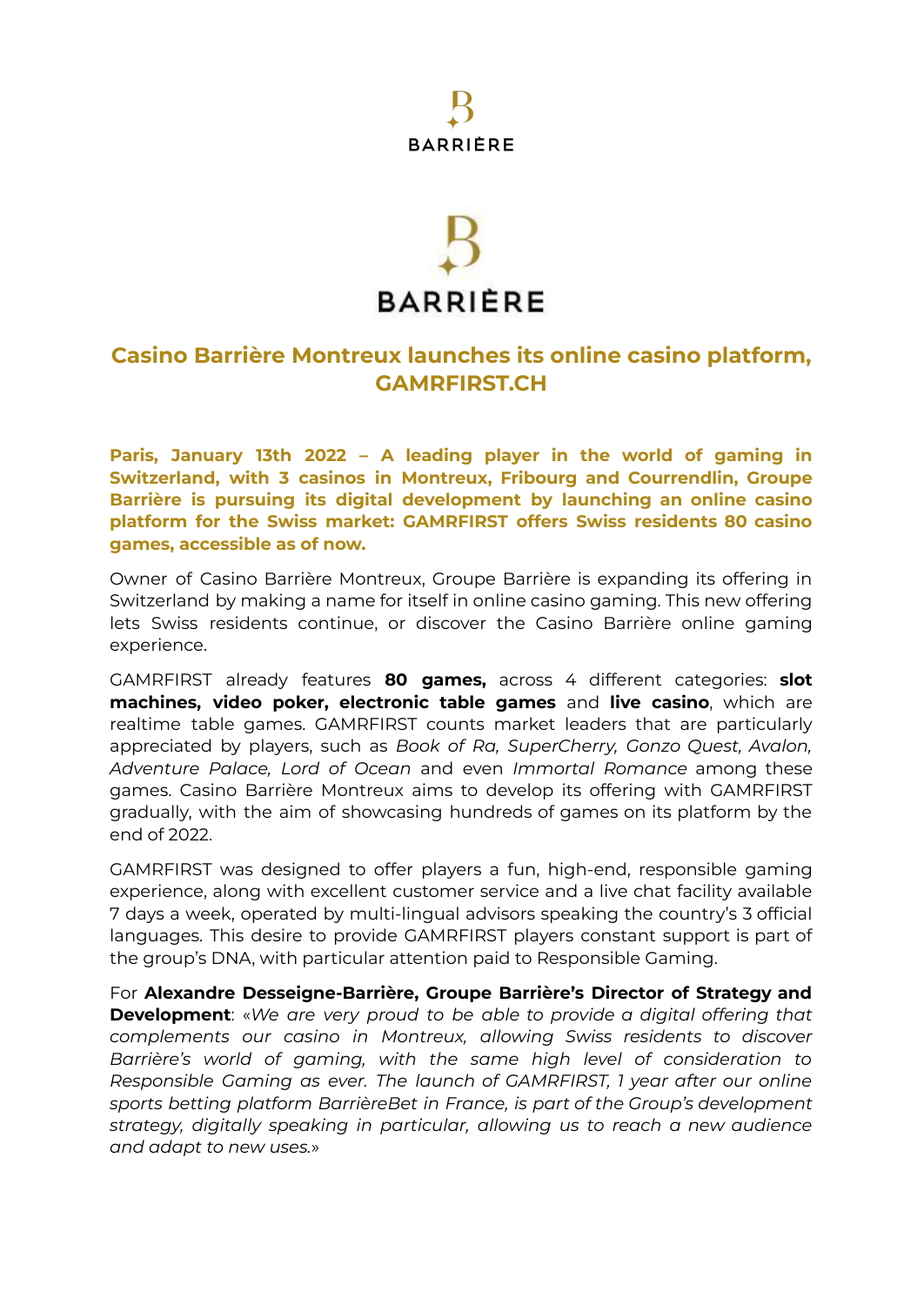## **BARRIÈRE**

# **BARRIÈRE**

### **Casino Barrière Montreux launches its online casino platform, GAMRFIRST.CH**

**Paris, January 13th 2022 – A leading player in the world of gaming in Switzerland, with 3 casinos in Montreux, Fribourg and Courrendlin, Groupe Barrière is pursuing its digital development by launching an online casino platform for the Swiss market: GAMRFIRST offers Swiss residents 80 casino games, accessible as of now.**

Owner of Casino Barrière Montreux, Groupe Barrière is expanding its offering in Switzerland by making a name for itself in online casino gaming. This new offering lets Swiss residents continue, or discover the Casino Barrière online gaming experience.

GAMRFIRST already features **80 games,** across 4 different categories: **slot machines, video poker, electronic table games** and **live casino**, which are realtime table games. GAMRFIRST counts market leaders that are particularly appreciated by players, such as *Book of Ra, SuperCherry, Gonzo Quest, Avalon, Adventure Palace, Lord of Ocean* and even *Immortal Romance* among these games. Casino Barrière Montreux aims to develop its offering with GAMRFIRST gradually, with the aim of showcasing hundreds of games on its platform by the end of 2022.

GAMRFIRST was designed to offer players a fun, high-end, responsible gaming experience, along with excellent customer service and a live chat facility available 7 days a week, operated by multi-lingual advisors speaking the country's 3 official languages. This desire to provide GAMRFIRST players constant support is part of the group's DNA, with particular attention paid to Responsible Gaming.

For **Alexandre Desseigne-Barrière, Groupe Barrière's Director of Strategy and Development**: «*We are very proud to be able to provide a digital offering that complements our casino in Montreux, allowing Swiss residents to discover Barrière's world of gaming, with the same high level of consideration to Responsible Gaming as ever. The launch of GAMRFIRST, 1 year after our online sports betting platform BarrièreBet in France, is part of the Group's development strategy, digitally speaking in particular, allowing us to reach a new audience and adapt to new uses.*»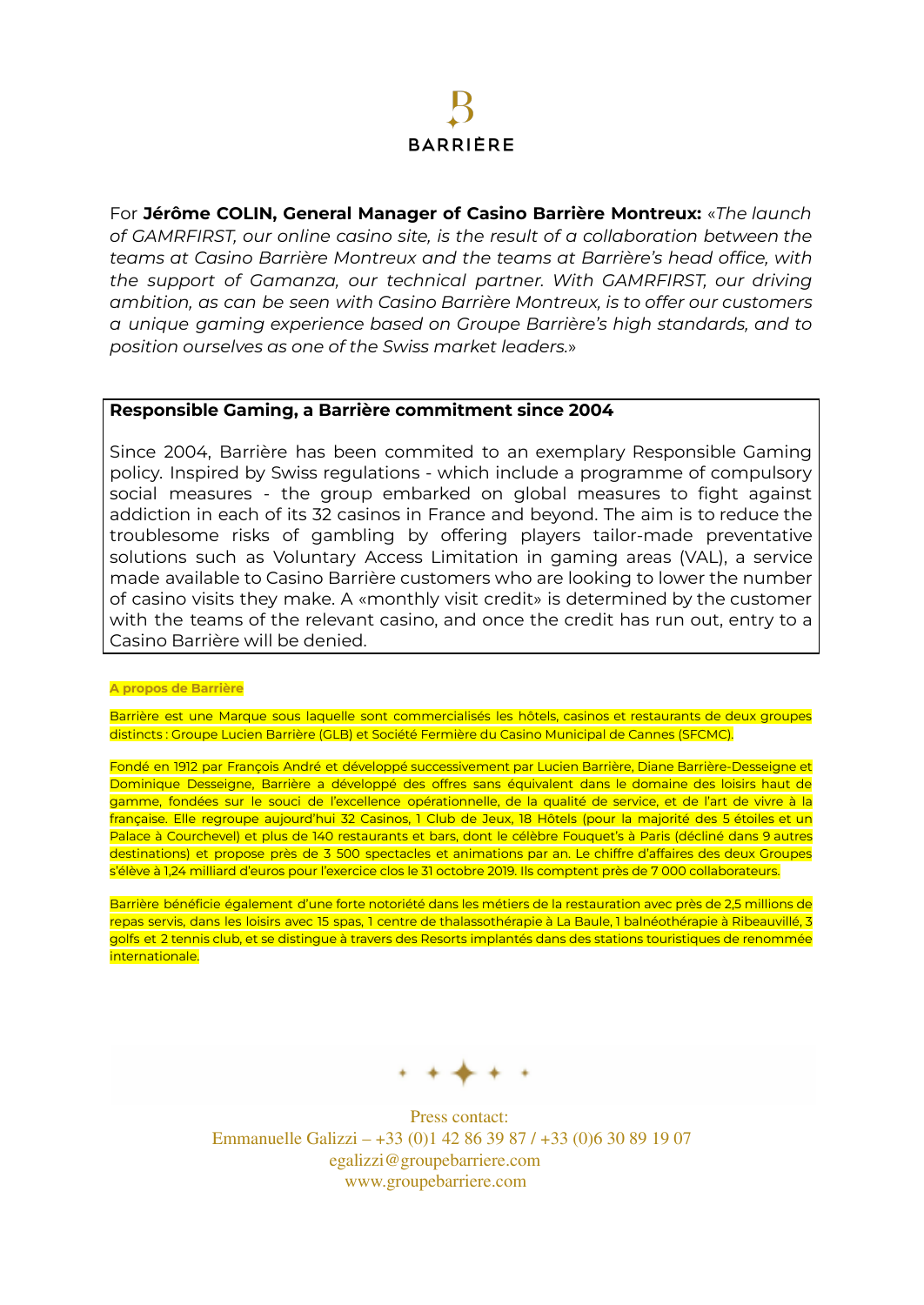### **BARRIÈRE**

For **Jérôme COLIN, General Manager of Casino Barrière Montreux:** «*The launch of GAMRFIRST, our online casino site, is the result of a collaboration between the teams at Casino Barrière Montreux and the teams at Barrière's head office, with the support of Gamanza, our technical partner. With GAMRFIRST, our driving ambition, as can be seen with Casino Barrière Montreux, is to offer our customers a unique gaming experience based on Groupe Barrière's high standards, and to position ourselves as one of the Swiss market leaders.*»

### **Responsible Gaming, a Barrière commitment since 2004**

Since 2004, Barrière has been commited to an exemplary Responsible Gaming policy. Inspired by Swiss regulations - which include a programme of compulsory social measures - the group embarked on global measures to fight against addiction in each of its 32 casinos in France and beyond. The aim is to reduce the troublesome risks of gambling by offering players tailor-made preventative solutions such as Voluntary Access Limitation in gaming areas (VAL), a service made available to Casino Barrière customers who are looking to lower the number of casino visits they make. A «monthly visit credit» is determined by the customer with the teams of the relevant casino, and once the credit has run out, entry to a Casino Barrière will be denied.

#### **A propos de Barrière**

Barrière est une Marque sous laquelle sont commercialisés les hôtels, casinos et restaurants de deux groupes distincts : Groupe Lucien Barrière (GLB) et Société Fermière du Casino Municipal de Cannes (SFCMC).

Fondé en 1912 par François André et développé successivement par Lucien Barrière, Diane Barrière-Desseigne et Dominique Desseigne, Barrière a développé des offres sans équivalent dans le domaine des loisirs haut de gamme, fondées sur le souci de l'excellence opérationnelle, de la qualité de service, et de l'art de vivre à la française. Elle regroupe aujourd'hui 32 Casinos, 1 Club de Jeux, 18 Hôtels (pour la majorité des 5 étoiles et un Palace à Courchevel) et plus de 140 restaurants et bars, dont le célèbre Fouquet's à Paris (décliné dans 9 autres destinations) et propose près de 3 500 spectacles et animations par an. Le chiffre d'affaires des deux Groupes s'élève à 1,24 milliard d'euros pour l'exercice clos le 31 octobre 2019. Ils comptent près de 7 000 collaborateurs.

Barrière bénéficie également d'une forte notoriété dans les métiers de la restauration avec près de 2,5 millions de repas servis, dans les loisirs avec 15 spas, 1 centre de thalassothérapie à La Baule, 1 balnéothérapie à Ribeauvillé, 3 golfs et 2 tennis club, et se distingue à travers des Resorts implantés dans des stations touristiques de renommée internationale.



Press contact: Emmanuelle Galizzi – +33 (0)1 42 86 39 87 / +33 (0)6 30 89 19 07 egalizzi@groupebarriere.com www.groupebarriere.com